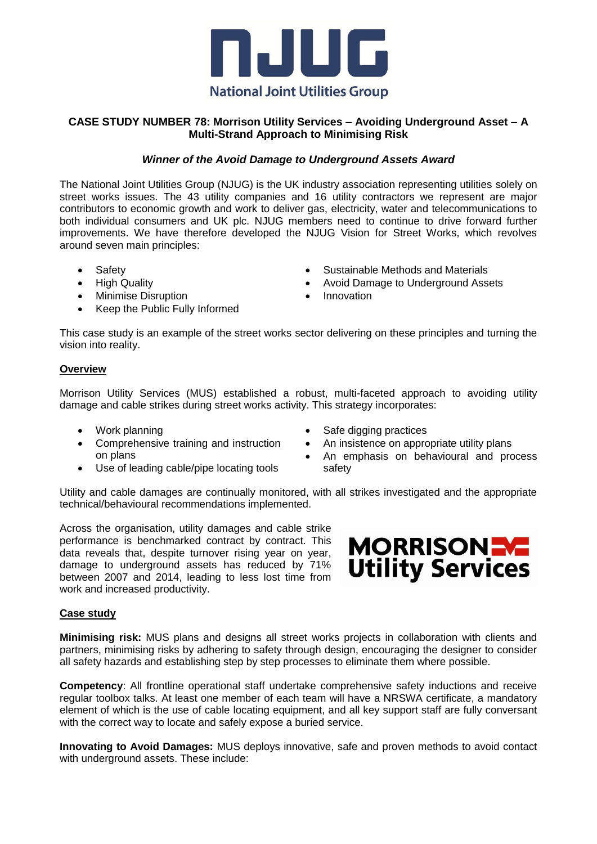

## **CASE STUDY NUMBER 78: Morrison Utility Services – Avoiding Underground Asset – A Multi-Strand Approach to Minimising Risk**

### *Winner of the Avoid Damage to Underground Assets Award*

The National Joint Utilities Group (NJUG) is the UK industry association representing utilities solely on street works issues. The 43 utility companies and 16 utility contractors we represent are major contributors to economic growth and work to deliver gas, electricity, water and telecommunications to both individual consumers and UK plc. NJUG members need to continue to drive forward further improvements. We have therefore developed the NJUG Vision for Street Works, which revolves around seven main principles:

- Safety
- High Quality
- Minimise Disruption
- Keep the Public Fully Informed
- Sustainable Methods and Materials
- Avoid Damage to Underground Assets
- Innovation

This case study is an example of the street works sector delivering on these principles and turning the vision into reality.

#### **Overview**

Morrison Utility Services (MUS) established a robust, multi-faceted approach to avoiding utility damage and cable strikes during street works activity. This strategy incorporates:

- Work planning
- Comprehensive training and instruction on plans
- Use of leading cable/pipe locating tools
- Safe digging practices
- An insistence on appropriate utility plans
- An emphasis on behavioural and process safety

Utility and cable damages are continually monitored, with all strikes investigated and the appropriate technical/behavioural recommendations implemented.

Across the organisation, utility damages and cable strike performance is benchmarked contract by contract. This data reveals that, despite turnover rising year on year, damage to underground assets has reduced by 71% between 2007 and 2014, leading to less lost time from work and increased productivity.



#### **Case study**

**Minimising risk:** MUS plans and designs all street works projects in collaboration with clients and partners, minimising risks by adhering to safety through design, encouraging the designer to consider all safety hazards and establishing step by step processes to eliminate them where possible.

**Competency**: All frontline operational staff undertake comprehensive safety inductions and receive regular toolbox talks. At least one member of each team will have a NRSWA certificate, a mandatory element of which is the use of cable locating equipment, and all key support staff are fully conversant with the correct way to locate and safely expose a buried service.

**Innovating to Avoid Damages:** MUS deploys innovative, safe and proven methods to avoid contact with underground assets. These include: